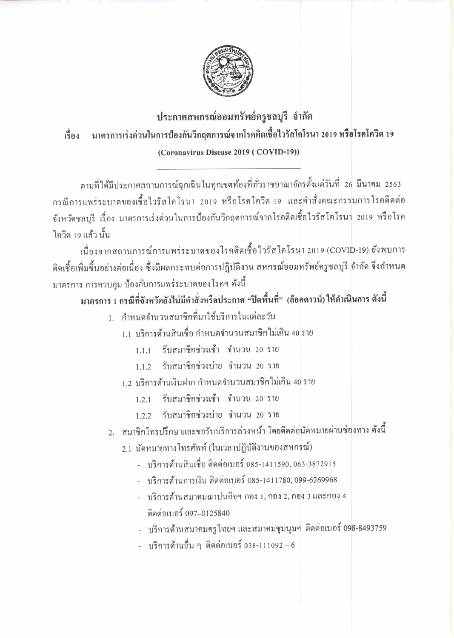

## ประกาศสหกรณ์ออมทรัพย์ครูชลบุรี จำกัด เรื่อง มาตรการเร่งด่วนในการป้องกันวิกฤตการณ์จากโรคติดเชื้อไวรัสโคโรนา 2019 หรือโรคโควิด 19 (Coronavirus Disease 2019 (COVID-19))

ตามที่ได้มีประกาศสถานการณ์ฉุกเฉินในทุกเขตท้องที่ทั่วราชอาณาจักรตั้งแต่วันที่ 26 มีนาคม 2563 กรณีการแพร่ระบาคของเชื้อไวรัสโคโรนา 2019 หรือโรคโควิค 19 และคำสั่งคณะกรรมการโรคติดต่อ จังหวัดชลบุรี เรื่อง มาตรการเร่งด่วนในการป้องกันวิกฤตการณ์จากโรคติดเชื้อไวรัสโคโรนา 2019 หรือโรค โควิด 19 แล้ว นั้น

เนื่องจากสถานการณ์การแพร่ระบาดของโรคติดเชื้อไวรัสโคโรนา 2019 (COVID-19) ยังพบการ ติดเชื้อเพิ่มขึ้นอย่างต่อเนื่อง ซึ่งมีผลกระทบต่อการปฏิบัติงาน สหกรณ์ออมทรัพย์ครูชลบุรี จำกัด จึงกำหนด มาตรการ การควบคุม ป้องกันการแพร่ระบาดของโรคฯ ดังนี้

## มาตรการ 1 กรณีที่จังหวัดยังไม่มีคำสั่งหรือประกาศ "ปิดพื้นที่" (ล็อคดาวน์) ให้ดำเนินการ ดังนี้

- 1. กำหนดจำนวนสมาชิกที่มาใช้บริการในแต่ละวัน
	- 1.1 บริการค้านสินเชื่อ กำหนดจำนวนสมาชิกไม่เกิน 40 ราย
		- 1.1.1 รับสมาชิกช่วงเช้า จำนวน 20 ราย
		- 1.1.2 รับสมาชิกช่วงบ่าย จำนวน 20 ราย
	- 1.2 บริการค้านเงินฝาก กำหนดจำนวนสมาชิกไม่เกิน 40 ราย
		- 1.2.1 รับสมาชิกช่วงเช้า จำนวน 20 ราย
		- 1.2.2 รับสมาชิกช่วงบ่าย จำนวน 20 ราย
- 2. สมาชิกโทรปรึกษาและขอรับบริการล่วงหน้า โดยติดต่อนัดหมายผ่านช่องทาง ดังนี้
	- 2.1 นัดหมายทางโทรศัพท์ (ในเวลาปฏิบัติงานของสหกรณ์)
		- บริการค้านสินเชื่อ ติดต่อเบอร์ 085-1411590, 063-3872915
		- บริการด้านการเงิน ติดต่อเบอร์ 085-1411780, 099-6269968
		- บริการค้านสมาคมฌาปนกิจฯ กอง 1, กอง 2, กอง 3 และกอง 4 ดิดต่อเบอร์ 097-0125840
		- บริการด้านสมาคมครูไทยฯ และสมาคมชุมนุมฯ ติดต่อเบอร์ 098-8493759
		- บริการด้านอื่น ๆ ติดต่อเบอร์ 038-111092 6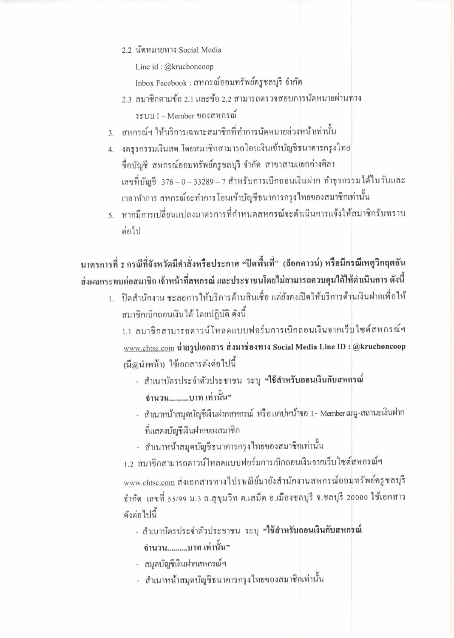2.2 นัดหมายทาง Social Media

Line id: @kruchoncoop

Inbox Facebook : สหกรณ์ออมทรัพย์ครูชลบุรี จำกัด

- 2.3 สมาชิกตามข้อ 2.1 และข้อ 2.2 สามารถตรวจสอบการนัดหมายผ่านทาง ระบบ I – Member ของสหกรณ์
- 3. สหกรณ์ฯ ให้บริการเฉพาะสมาชิกที่ทำการนัดหมายล่วงหน้าเท่านั้น
- 4. งคธุรกรรมเงินสด โดยสมาชิกสามารถโอนเงินเข้าบัญชีธนาคารกรุงไทย ชื่อบัญชี สหกรณ์ออมทรัพย์ครูชลบุรี จำกัด สาขาสามแยกอ่างศิลา เลขที่บัญชี 376 – 0 – 33289 – 7 สำหรับการเบิกถอนเงินฝาก ทำธุรกรรมได้ในวันและ เวลาทำการ สหกรณ์จะทำการโอนเข้าบัญชีธนาคารกรุงไทยของสมาชิกเท่านั้น
- 5. หากมีการเปลี่ยนแปลงมาตรการที่กำหนดสหกรณ์จะคำเนินการแจ้งให้สมาชิกรับทราบ ต่อไป

## มาตรการที่ 2 กรณีที่จังหวัดมีคำสั่งหรือประกาศ "ปิดพื้นที่" (ล็อกดาวน์) หรือมีกรณีเหตุวิกฤตอัน ส่งผลกระทบต่อสมาชิก เจ้าหน้าที่สหกรณ์ และประชาชนโดยไม่สามารถควบคุมได้ให้ดำเนินการ ดังนี้

1. ปิดสำนักงาน ชะลอการให้บริการด้านสินเชื่อ แต่ยังคงเปิดให้บริการด้านเงินฝากเพื่อให้ ้สมาชิกเบิกถอนเงินได้ โดยปฏิบัติ ดังนี้

1.1 สมาชิกสามารถคาวน์โหลดแบบฟอร์มการเบิกถอนเงินจากเว็บใซต์สหกรณ์ฯ www.chtsc.com ถ่ายรูปเอกสาร ส่งมาช่องทาง Social Media Line ID : @kruchoncoop (มื@นำหน้า) ใช้เอกสารคังต่อไปนี้

- สำเนาบัตรประจำตัวประชาชน ระบุ "ใช้สำหรับถอนเงินกับสหกรณ์ ้จำนวน.........บาท เท่านั้น"
- สำเนาหน้าสมุดบัญชีเงินฝากสหกรณ์ หรือแดปหน้าจอ I Member เมนู-สถานะเงินฝาก ที่แสดงบัญชีเงินฝากของสมาชิก
- สำเนาหน้าสมุดบัญชีธนาคารกรุงไทยของสมาชิกเท่านั้น

1.2 สมาชิกสามารถคาวน์โหลดแบบฟอร์มการเบิกถอนเงินจากเว็บไซต์สหกรณ์ฯ www.chtsc.com ส่งเอกสารทางไปรษณีย์มายังสำนักงานสหกรณ์ออมทรัพย์ครูชลบุรี จำกัด เลขที่ 55/99 ม.3 ถ.สุขุมวิท ต.เสม็ด อ.เมืองชลบุรี จ.ชลบุรี 20000 ใช้เอกสาร คังต่อไปนี้

- สำเนาบัตรประจำตัวประชาชน ระบุ "ใช้สำหรับถอนเงินกับสหกรณ์ ้จำนวน.........บาท เท่านั้น"
- สมุดบัญชีเงินฝากสหกรณ์ฯ
- สำเนาหน้าสมุดบัญชีธนาคารกรุงไทยของสมาชิกเท่านั้น